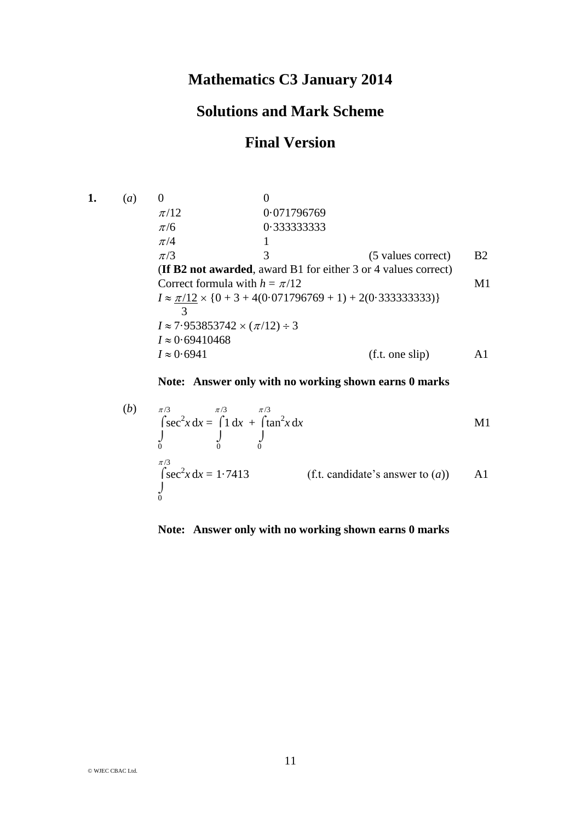### **Mathematics C3 January 2014**

# **Solutions and Mark Scheme**

# **Final Version**

**1.** (*a*) 0 0  $\pi/12$  0.071796769 /6 0·333333333  $\pi/4$  1  $\pi/3$  3 (5 values correct) B2 (**If B2 not awarded**, award B1 for either 3 or 4 values correct) Correct formula with  $h = \pi/12$  M1  $I \approx \pi/12 \times \{0 + 3 + 4(0.071796769 + 1) + 2(0.333333333)\}\$  3  $I \approx 7.953853742 \times (\pi/12) \div 3$  $I \approx 0.69410468$  $I \approx 0.6941$  (f.t. one slip) A1

### **Note: Answer only with no working shown earns 0 marks**

(b) 
$$
\pi/3
$$
  
\n
$$
\int_{0}^{\pi/3} \sec^2 x \, dx = \int_{0}^{\pi/3} 1 \, dx + \int_{0}^{\pi/3} \tan^2 x \, dx
$$
\n
$$
\int_{0}^{\pi/3} \sec^2 x \, dx = 1.7413
$$
\n  
\n(c) If the candidate's answer to (a)\n
$$
\int_{0}^{\pi/3} \tan^2 x \, dx = 1.7413
$$
\n
$$
\int_{0}^{\pi/3} \tan^2 x \, dx = 1.7413
$$

#### **Note: Answer only with no working shown earns 0 marks**

© WJEC CBAC Ltd.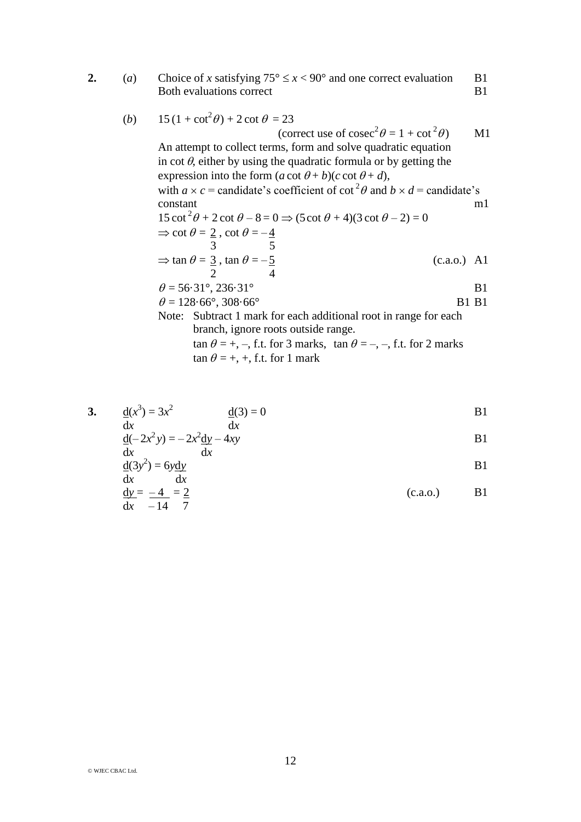**2.** (*a*) Choice of *x* satisfying  $75^{\circ} \le x < 90^{\circ}$  and one correct evaluation B1 Both evaluations correct B1

(b) 
$$
15(1 + \cot^2 \theta) + 2 \cot \theta = 23
$$
  
\n(correct use of  $\csc^2 \theta = 1 + \cot^2 \theta$ ) MI  
\nAn attempt to collect terms, form and solve quadratic equation  
\nin  $\cot \theta$ , either by using the quadratic formula or by getting the  
\nexpression into the form  $(a \cot \theta + b)(c \cot \theta + d)$ ,  
\nwith  $a \times c$  = candidate's coefficient of  $\cot^2 \theta$  and  $b \times d$  = candidate's  
\nconstant  
\n $15 \cot^2 \theta + 2 \cot \theta - 8 = 0 \Rightarrow (5 \cot \theta + 4)(3 \cot \theta - 2) = 0$   
\n $\Rightarrow \cot \theta = 2$ ,  $\cot \theta = -\frac{4}{3}$   
\n $\Rightarrow \tan \theta = \frac{3}{2}$ ,  $\tan \theta = -\frac{5}{2}$   
\n $\Rightarrow \tan \theta = 3$ ,  $\tan \theta = -\frac{5}{2}$   
\n $\theta = 56.31^\circ, 236.31^\circ$   
\n $\theta = 128.66^\circ, 308.66^\circ$   
\nB1 B1  
\nNote: Subtract 1 mark for each additional root in range for each  
\nbranch, ignore roots outside range.  
\n $\tan \theta = +, -$ , f.t. for 3 marks,  $\tan \theta = -, -$ , f.t. for 2 marks

 $\tan \theta = +, +,$  f.t. for 1 mark

3. 
$$
\frac{d(x^3)}{dx} = 3x^2
$$
  $\frac{d(3)}{dx} = 0$   
\n $\frac{d}{dx} = 2x^2y = -2x^2\frac{dy}{dx} - 4xy$   
\n $\frac{d}{dx} = \frac{d(3y^2)}{dx} = 6y\frac{dy}{dx}$   
\n $\frac{dy}{dx} = \frac{-4}{-14} = \frac{2}{7}$   
\n5.  $\frac{dy}{dx} = \frac{-4}{-14} = \frac{2}{7}$   
\n6. (c.a.o.)  
\n6.  $\frac{dy}{dx} = \frac{-4}{-14} = \frac{2}{7}$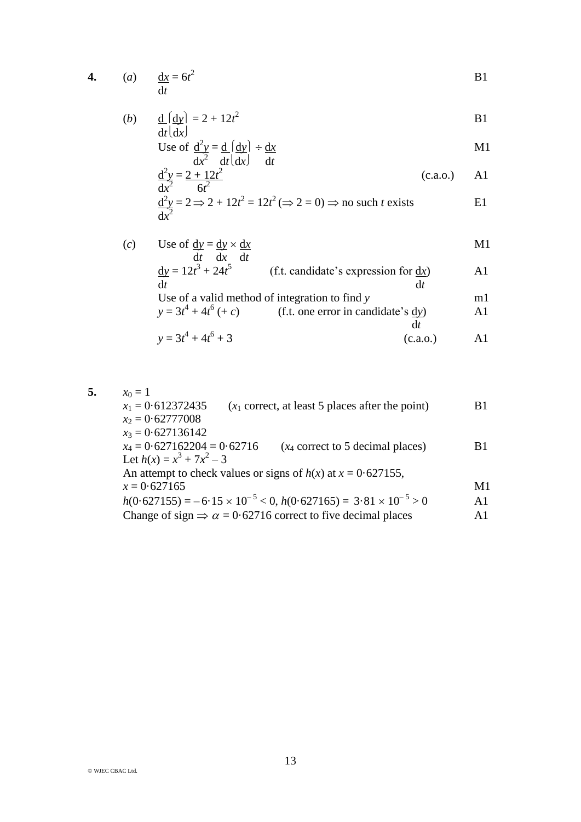**4.** (*a*)  $\underline{dx} = 6t^2$ <sup>2</sup> B1 d*t*

(b) 
$$
\frac{d}{dt} \left( \frac{dy}{dx} \right) = 2 + 12t^2
$$
 B1

Use of 
$$
\frac{d^2y}{dx^2} = \frac{d}{dt} \left( \frac{dy}{dx} \right) \div \frac{dx}{dt}
$$

$$
\frac{d^2y}{dx^2} = \frac{2 + 12t^2}{6t^2}
$$
 (c.a.o.) A1

$$
\frac{d^2y}{dx^2} = 2 \Rightarrow 2 + 12t^2 = 12t^2 \ (\Rightarrow 2 = 0) \Rightarrow \text{no such } t \text{ exists} \tag{E1}
$$

(*c*) Use of  $\underline{dy} = \underline{dy} \times \underline{dx}$  M1

$$
\frac{dy}{dt} = 12t^3 + 24t^5
$$
 (f.t. candidate's expression for dx)  
of a valid method of integration to find y  

$$
y = 3t^4 + 4t^6 + c
$$
 (f.t. one error in candidate's dy)  
of the equation dx

$$
y = 3t^4 + 4t^6 + 3
$$
 (c.a.o.) A1

**5.**  $x_0 = 1$  $x_1 = 0.612372435$  ( $x_1$  correct, at least 5 places after the point) B1  $x_2 = 0.62777008$  $x_3 = 0.627136142$ <br> $x_4 = 0.627162204 = 0.62716$  $(x_4$  correct to 5 decimal places) B1 Let  $h(x) = x^3 + 7x^2 - 3$ An attempt to check values or signs of  $h(x)$  at  $x = 0.627155$ ,  $x = 0.627165$  M1  $h(0.627155) = -6.15 \times 10^{-5} < 0, h(0.627165) = 3.81 \times 10^{-5} > 0$  A1 Change of sign  $\Rightarrow \alpha = 0.62716$  correct to five decimal places A1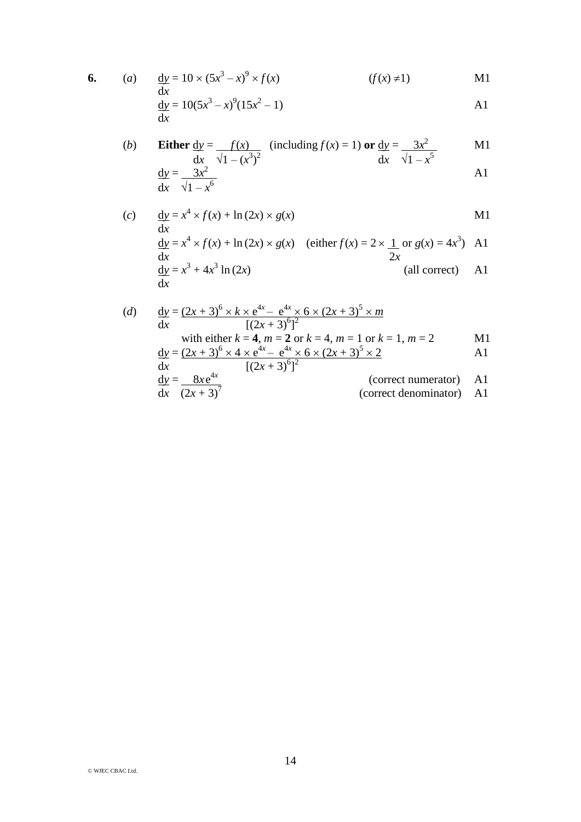6. (a) 
$$
\frac{dy}{dx} = 10 \times (5x^3 - x)^9 \times f(x)
$$
 (f(x)  $\neq$ 1) M1

$$
\frac{dy}{dx} = 10(5x^3 - x)^9(15x^2 - 1)
$$

(b) Either 
$$
\frac{dy}{dx} = \frac{f(x)}{\sqrt{1 - (x^3)^2}}
$$
 (including  $f(x) = 1$ ) or  $\frac{dy}{dx} = \frac{3x^2}{\sqrt{1 - x^5}}$  M1  
\n $\frac{dy}{dx} = \frac{3x^2}{\sqrt{1 - x^6}}$  A1

(c) 
$$
\frac{dy}{dx} = x^4 \times f(x) + \ln(2x) \times g(x)
$$
   
 
$$
\frac{dy}{dx} = x^4 \times f(x) + \ln(2x) \times g(x)
$$
 (either  $f(x) = 2 \times \frac{1}{2x}$  or  $g(x) = 4x^3$ ) A1  
\n
$$
\frac{dy}{dx} = x^3 + 4x^3 \ln(2x)
$$
 (all correct) A1

(d) 
$$
\frac{dy}{dx} = \frac{(2x+3)^6 \times k \times e^{4x} - e^{4x} \times 6 \times (2x+3)^5 \times m}{[(2x+3)^6]^2}
$$
  
\nwith either  $k = 4$ ,  $m = 2$  or  $k = 4$ ,  $m = 1$  or  $k = 1$ ,  $m = 2$   
\n
$$
\frac{dy}{dx} = \frac{(2x+3)^6 \times 4 \times e^{4x} - e^{4x} \times 6 \times (2x+3)^5 \times 2}{[(2x+3)^6]^2}
$$
  
\n
$$
\frac{dy}{dx} = \frac{8xe^{4x}}{(2x+3)^7}
$$
  
\n(correct numerator) A1  
\n(correct denominator) A1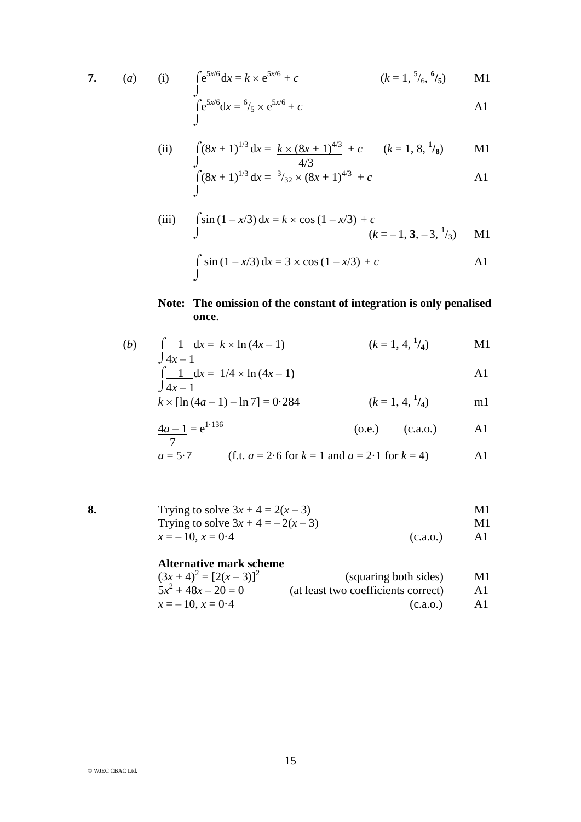$$
7. \qquad (a
$$

a) (i) 
$$
\int e^{5x/6} dx = k \times e^{5x/6} + c
$$
  $(k = 1, \frac{5}{6}, \frac{6}{5})$  M1

$$
\int e^{5x/6} dx = 6/5 \times e^{5x/6} + c
$$

(ii) 
$$
\int (8x+1)^{1/3} dx = k \times (8x+1)^{4/3} + c \qquad (k=1, 8, \frac{1}{8}) \qquad \text{M1}
$$

$$
\int_{1}^{1/3} (8x+1)^{1/3} dx = \frac{3}{32} \times (8x+1)^{4/3} + c
$$

(iii) 
$$
\int \sin (1 - x/3) dx = k \times \cos (1 - x/3) + c
$$

$$
(k = -1, 3, -3, \frac{1}{3}) \quad \text{M1}
$$

$$
\int_{J} \sin(1 - x/3) dx = 3 \times \cos(1 - x/3) + c
$$
 A1

### **Note: The omission of the constant of integration is only penalised once**.

(b) 
$$
\int \frac{1}{4x-1} dx = k \times \ln(4x-1)
$$
  $(k = 1, 4, \frac{1}{4})$  M1

$$
\int \frac{1}{4x - 1} dx = 1/4 \times \ln(4x - 1)
$$

$$
k \times [\ln(4a-1) - \ln 7] = 0.284
$$
  $(k = 1, 4, \frac{1}{4})$  m1

$$
\frac{4a-1}{7} = e^{1.136} \tag{o.e.} \tag{c.a.o.}
$$

$$
a = 5.7
$$
 (f.t.  $a = 2.6$  for  $k = 1$  and  $a = 2.1$  for  $k = 4$ ) A1

| 8. | Trying to solve $3x + 4 = 2(x - 3)$  |          | M1 |
|----|--------------------------------------|----------|----|
|    | Trying to solve $3x + 4 = -2(x - 3)$ |          | M1 |
|    | $x = -10$ , $x = 0.4$                | (c.a.0.) |    |

#### **Alternative mark scheme**

| $(3x+4)^2 = [2(x-3)]^2$ | (squaring both sides)               | M1. |
|-------------------------|-------------------------------------|-----|
| $5x^2 + 48x - 20 = 0$   | (at least two coefficients correct) | AI  |
| $x = -10$ , $x = 0.4$   | (c.a.o.)                            | AI  |